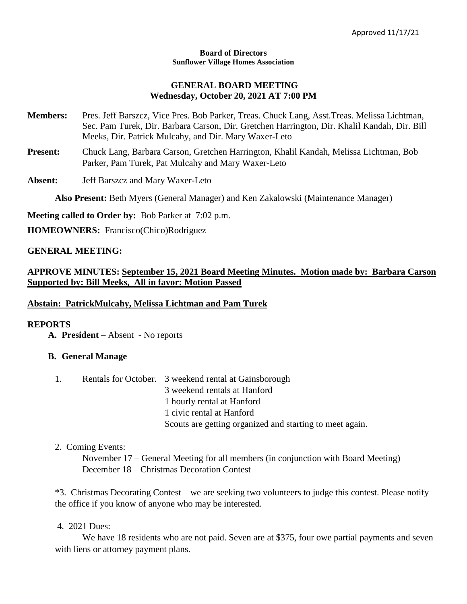#### **Board of Directors Sunflower Village Homes Association**

#### **GENERAL BOARD MEETING Wednesday, October 20, 2021 AT 7:00 PM**

- **Members:** Pres. Jeff Barszcz, Vice Pres. Bob Parker, Treas. Chuck Lang, Asst.Treas. Melissa Lichtman, Sec. Pam Turek, Dir. Barbara Carson, Dir. Gretchen Harrington, Dir. Khalil Kandah, Dir. Bill Meeks, Dir. Patrick Mulcahy, and Dir. Mary Waxer-Leto
- **Present:** Chuck Lang, Barbara Carson, Gretchen Harrington, Khalil Kandah, Melissa Lichtman, Bob Parker, Pam Turek, Pat Mulcahy and Mary Waxer-Leto

**Absent:** Jeff Barszcz and Mary Waxer-Leto

**Also Present:** Beth Myers (General Manager) and Ken Zakalowski (Maintenance Manager)

**Meeting called to Order by:** Bob Parker at 7:02 p.m.

**HOMEOWNERS:** Francisco(Chico)Rodriguez

#### **GENERAL MEETING:**

## **APPROVE MINUTES: September 15, 2021 Board Meeting Minutes. Motion made by: Barbara Carson Supported by: Bill Meeks, All in favor: Motion Passed**

#### **Abstain: PatrickMulcahy, Melissa Lichtman and Pam Turek**

#### **REPORTS**

**A. President –** Absent - No reports

## **B. General Manage**

| 1. | Rentals for October. 3 weekend rental at Gainsborough    |
|----|----------------------------------------------------------|
|    | 3 weekend rentals at Hanford                             |
|    | 1 hourly rental at Hanford                               |
|    | 1 civic rental at Hanford                                |
|    | Scouts are getting organized and starting to meet again. |

#### 2. Coming Events:

November 17 – General Meeting for all members (in conjunction with Board Meeting) December 18 – Christmas Decoration Contest

\*3. Christmas Decorating Contest – we are seeking two volunteers to judge this contest. Please notify the office if you know of anyone who may be interested.

#### 4. 2021 Dues:

We have 18 residents who are not paid. Seven are at \$375, four owe partial payments and seven with liens or attorney payment plans.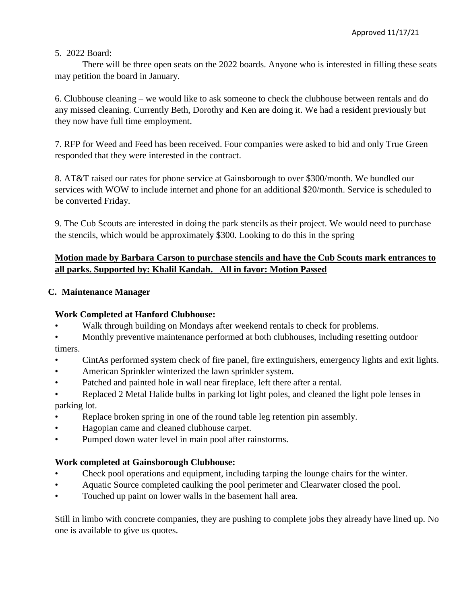### 5. 2022 Board:

There will be three open seats on the 2022 boards. Anyone who is interested in filling these seats may petition the board in January.

6. Clubhouse cleaning – we would like to ask someone to check the clubhouse between rentals and do any missed cleaning. Currently Beth, Dorothy and Ken are doing it. We had a resident previously but they now have full time employment.

7. RFP for Weed and Feed has been received. Four companies were asked to bid and only True Green responded that they were interested in the contract.

8. AT&T raised our rates for phone service at Gainsborough to over \$300/month. We bundled our services with WOW to include internet and phone for an additional \$20/month. Service is scheduled to be converted Friday.

9. The Cub Scouts are interested in doing the park stencils as their project. We would need to purchase the stencils, which would be approximately \$300. Looking to do this in the spring

# **Motion made by Barbara Carson to purchase stencils and have the Cub Scouts mark entrances to all parks. Supported by: Khalil Kandah. All in favor: Motion Passed**

## **C. Maintenance Manager**

## **Work Completed at Hanford Clubhouse:**

- Walk through building on Mondays after weekend rentals to check for problems.
- Monthly preventive maintenance performed at both clubhouses, including resetting outdoor timers.
- CintAs performed system check of fire panel, fire extinguishers, emergency lights and exit lights.
- American Sprinkler winterized the lawn sprinkler system.
- Patched and painted hole in wall near fireplace, left there after a rental.
- Replaced 2 Metal Halide bulbs in parking lot light poles, and cleaned the light pole lenses in parking lot.
- Replace broken spring in one of the round table leg retention pin assembly.
- Hagopian came and cleaned clubhouse carpet.
- Pumped down water level in main pool after rainstorms.

## **Work completed at Gainsborough Clubhouse:**

- Check pool operations and equipment, including tarping the lounge chairs for the winter.
- Aquatic Source completed caulking the pool perimeter and Clearwater closed the pool.
- Touched up paint on lower walls in the basement hall area.

Still in limbo with concrete companies, they are pushing to complete jobs they already have lined up. No one is available to give us quotes.